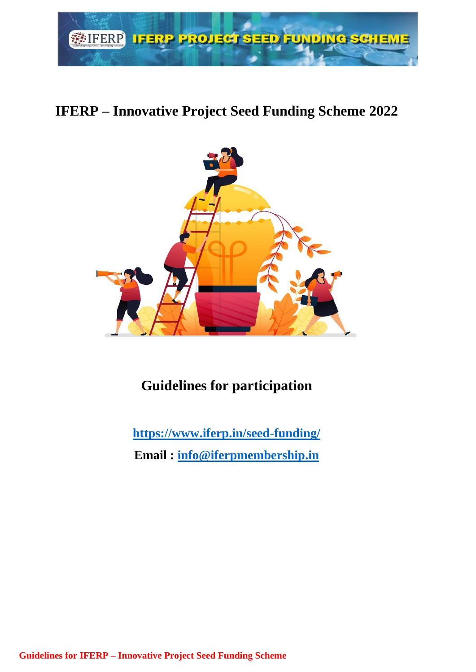

# **IFERP – Innovative Project Seed Funding Scheme 2022**



# **Guidelines for participation**

**<https://www.iferp.in/seed-funding/>**

**Email : [info@iferpmembership.in](mailto:info@iferpmembership.in)**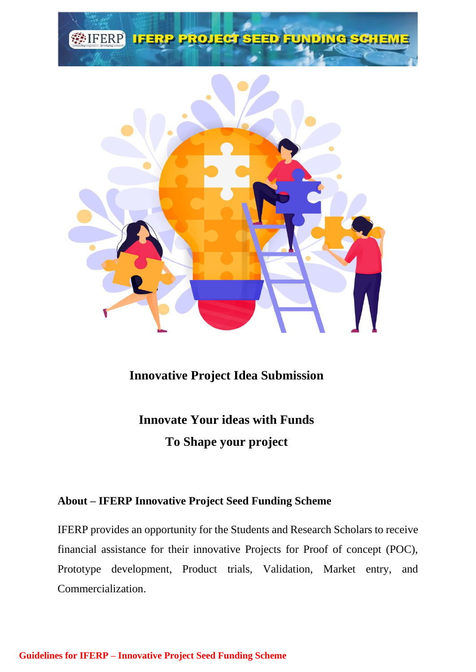

**Innovative Project Idea Submission**

**Innovate Your ideas with Funds To Shape your project**

# **About – IFERP Innovative Project Seed Funding Scheme**

IFERP provides an opportunity for the Students and Research Scholars to receive financial assistance for their innovative Projects for Proof of concept (POC), Prototype development, Product trials, Validation, Market entry, and Commercialization.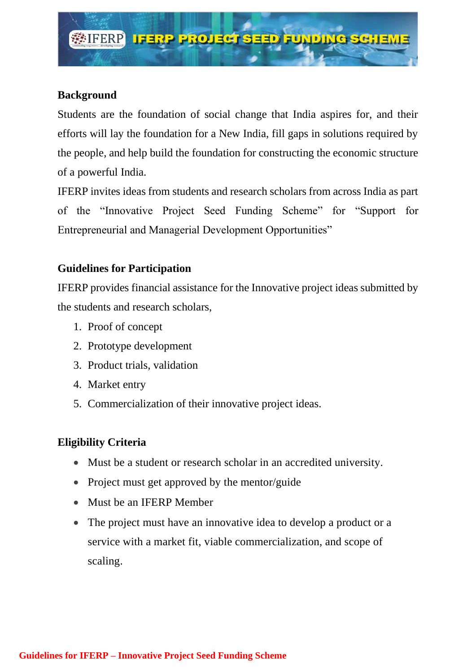

## **Background**

Students are the foundation of social change that India aspires for, and their efforts will lay the foundation for a New India, fill gaps in solutions required by the people, and help build the foundation for constructing the economic structure of a powerful India.

IFERP invites ideas from students and research scholars from across India as part of the "Innovative Project Seed Funding Scheme" for "Support for Entrepreneurial and Managerial Development Opportunities"

# **Guidelines for Participation**

IFERP provides financial assistance for the Innovative project ideas submitted by the students and research scholars,

- 1. Proof of concept
- 2. Prototype development
- 3. Product trials, validation
- 4. Market entry
- 5. Commercialization of their innovative project ideas.

# **Eligibility Criteria**

- Must be a student or research scholar in an accredited university.
- Project must get approved by the mentor/guide
- Must be an IFERP Member
- The project must have an innovative idea to develop a product or a service with a market fit, viable commercialization, and scope of scaling.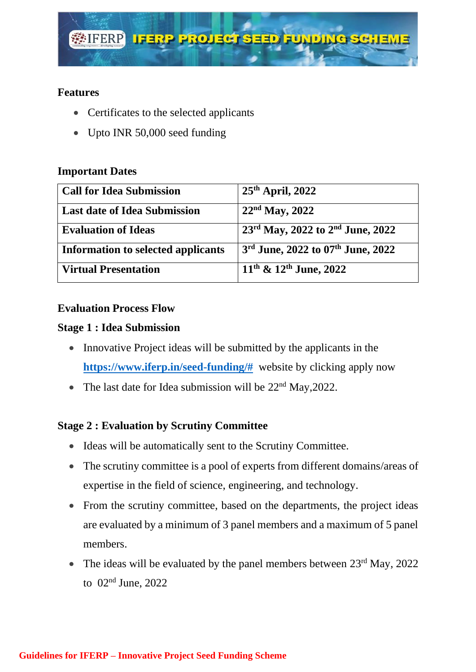

## **Features**

- Certificates to the selected applicants
- Upto INR 50,000 seed funding

## **Important Dates**

| <b>Call for Idea Submission</b>           | $25th$ April, 2022                                 |
|-------------------------------------------|----------------------------------------------------|
| <b>Last date of Idea Submission</b>       | $22nd$ May, 2022                                   |
| <b>Evaluation of Ideas</b>                | $23^{\rm rd}$ May, 2022 to $2^{\rm nd}$ June, 2022 |
| <b>Information to selected applicants</b> | 3rd June, 2022 to 07th June, 2022                  |
| <b>Virtual Presentation</b>               | $11^{th}$ & $12^{th}$ June, 2022                   |

#### **Evaluation Process Flow**

#### **Stage 1 : Idea Submission**

- Innovative Project ideas will be submitted by the applicants in the **[https://www.iferp.in/seed-funding/#](https://www.iferp.in/seed-funding/)** website by clicking apply now
- The last date for Idea submission will be  $22<sup>nd</sup>$  May, 2022.

## **Stage 2 : Evaluation by Scrutiny Committee**

- Ideas will be automatically sent to the Scrutiny Committee.
- The scrutiny committee is a pool of experts from different domains/areas of expertise in the field of science, engineering, and technology.
- From the scrutiny committee, based on the departments, the project ideas are evaluated by a minimum of 3 panel members and a maximum of 5 panel members.
- The ideas will be evaluated by the panel members between  $23<sup>rd</sup>$  May, 2022 to 02nd June, 2022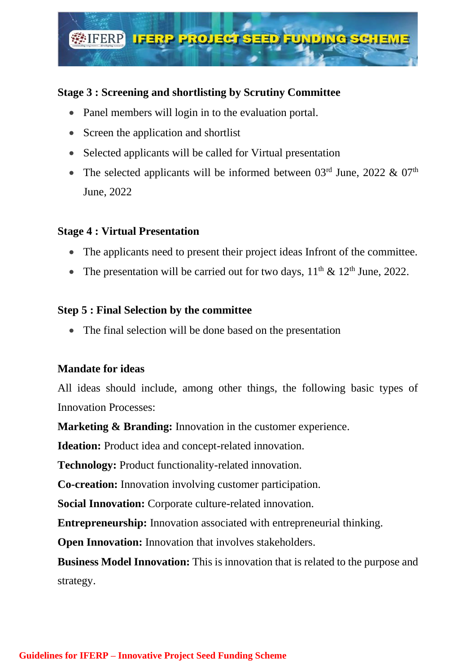

# **Stage 3 : Screening and shortlisting by Scrutiny Committee**

- Panel members will login in to the evaluation portal.
- Screen the application and shortlist
- Selected applicants will be called for Virtual presentation
- The selected applicants will be informed between  $03<sup>rd</sup>$  June, 2022 &  $07<sup>th</sup>$ June, 2022

# **Stage 4 : Virtual Presentation**

- The applicants need to present their project ideas Infront of the committee.
- The presentation will be carried out for two days,  $11<sup>th</sup> \& 12<sup>th</sup>$  June, 2022.

## **Step 5 : Final Selection by the committee**

• The final selection will be done based on the presentation

## **Mandate for ideas**

All ideas should include, among other things, the following basic types of Innovation Processes:

**Marketing & Branding:** Innovation in the customer experience.

**Ideation:** Product idea and concept-related innovation.

**Technology:** Product functionality-related innovation.

**Co-creation:** Innovation involving customer participation.

**Social Innovation:** Corporate culture-related innovation.

**Entrepreneurship:** Innovation associated with entrepreneurial thinking.

**Open Innovation:** Innovation that involves stakeholders.

**Business Model Innovation:** This is innovation that is related to the purpose and strategy.